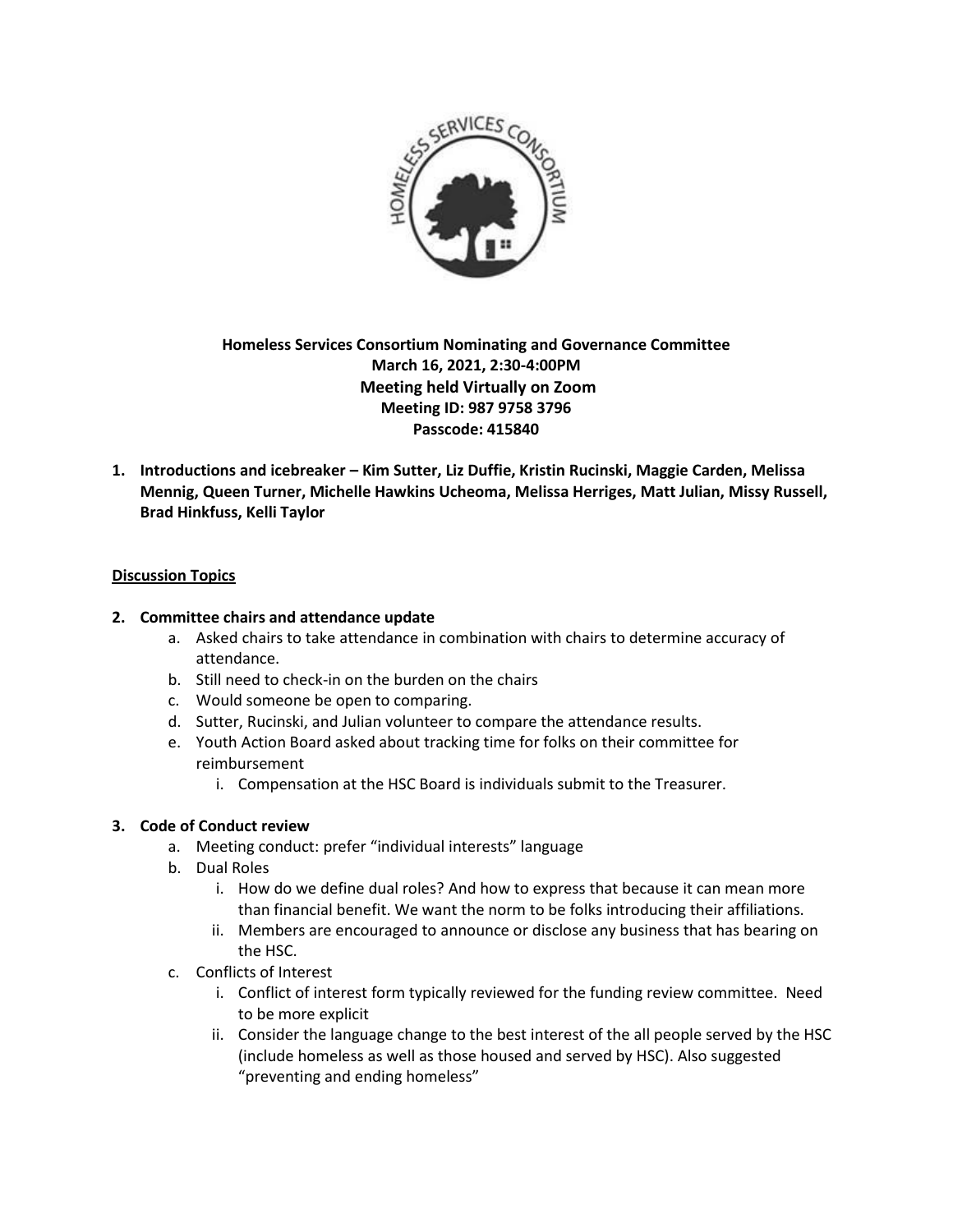

# **Homeless Services Consortium Nominating and Governance Committee March 16, 2021, 2:30-4:00PM Meeting held Virtually on Zoom Meeting ID: 987 9758 3796 Passcode: 415840**

**1. Introductions and icebreaker – Kim Sutter, Liz Duffie, Kristin Rucinski, Maggie Carden, Melissa Mennig, Queen Turner, Michelle Hawkins Ucheoma, Melissa Herriges, Matt Julian, Missy Russell, Brad Hinkfuss, Kelli Taylor**

### **Discussion Topics**

#### **2. Committee chairs and attendance update**

- a. Asked chairs to take attendance in combination with chairs to determine accuracy of attendance.
- b. Still need to check-in on the burden on the chairs
- c. Would someone be open to comparing.
- d. Sutter, Rucinski, and Julian volunteer to compare the attendance results.
- e. Youth Action Board asked about tracking time for folks on their committee for reimbursement
	- i. Compensation at the HSC Board is individuals submit to the Treasurer.

#### **3. Code of Conduct review**

- a. Meeting conduct: prefer "individual interests" language
- b. Dual Roles
	- i. How do we define dual roles? And how to express that because it can mean more than financial benefit. We want the norm to be folks introducing their affiliations.
	- ii. Members are encouraged to announce or disclose any business that has bearing on the HSC.
- c. Conflicts of Interest
	- i. Conflict of interest form typically reviewed for the funding review committee. Need to be more explicit
	- ii. Consider the language change to the best interest of the all people served by the HSC (include homeless as well as those housed and served by HSC). Also suggested "preventing and ending homeless"